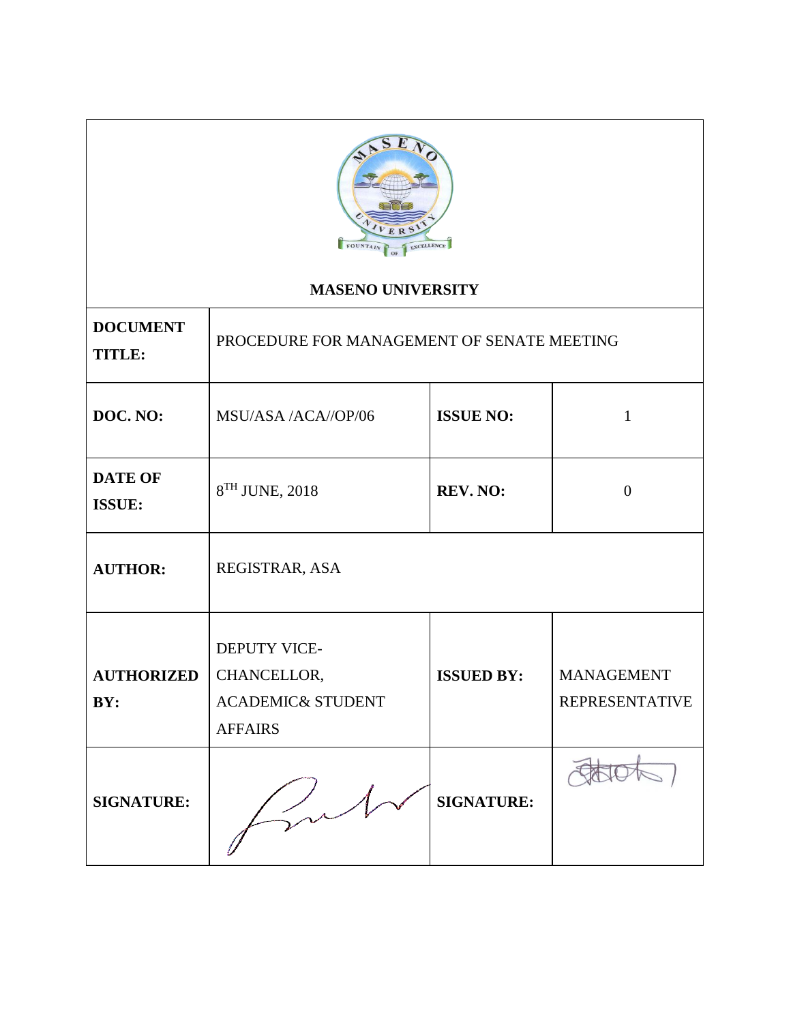

# **MASENO UNIVERSITY**

| <b>DOCUMENT</b><br><b>TITLE:</b> | PROCEDURE FOR MANAGEMENT OF SENATE MEETING                                           |                   |                                            |  |
|----------------------------------|--------------------------------------------------------------------------------------|-------------------|--------------------------------------------|--|
| DOC. NO:                         | MSU/ASA /ACA//OP/06                                                                  | <b>ISSUE NO:</b>  | $\mathbf{1}$                               |  |
| <b>DATE OF</b><br><b>ISSUE:</b>  | 8 <sup>TH</sup> JUNE, 2018<br><b>REV. NO:</b>                                        |                   | $\theta$                                   |  |
| <b>AUTHOR:</b>                   | REGISTRAR, ASA                                                                       |                   |                                            |  |
| <b>AUTHORIZED</b><br>BY:         | <b>DEPUTY VICE-</b><br>CHANCELLOR,<br><b>ACADEMIC&amp; STUDENT</b><br><b>AFFAIRS</b> | <b>ISSUED BY:</b> | <b>MANAGEMENT</b><br><b>REPRESENTATIVE</b> |  |
| <b>SIGNATURE:</b>                |                                                                                      | <b>SIGNATURE:</b> |                                            |  |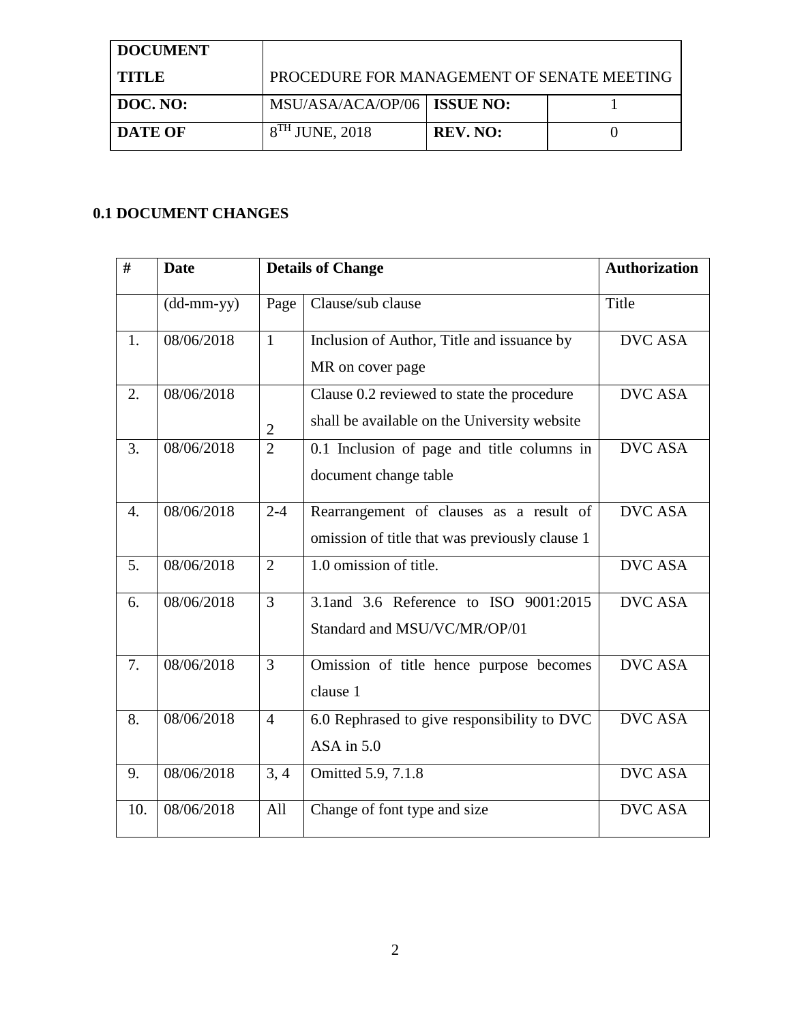| <b>DOCUMENT</b> |                                            |                 |  |
|-----------------|--------------------------------------------|-----------------|--|
| TITLE           | PROCEDURE FOR MANAGEMENT OF SENATE MEETING |                 |  |
| DOC. NO:        | MSU/ASA/ACA/OP/06   ISSUE NO:              |                 |  |
| <b>DATE OF</b>  | $8TH$ JUNE, 2018                           | <b>REV. NO:</b> |  |

# **0.1 DOCUMENT CHANGES**

| #                | <b>Date</b>                |                | <b>Details of Change</b>                                                                   | <b>Authorization</b> |
|------------------|----------------------------|----------------|--------------------------------------------------------------------------------------------|----------------------|
|                  | $(dd\text{-}mm\text{-}yy)$ | Page           | Clause/sub clause                                                                          | Title                |
| 1.               | 08/06/2018                 | $\mathbf{1}$   | Inclusion of Author, Title and issuance by<br>MR on cover page                             | <b>DVC ASA</b>       |
| $\overline{2}$ . | 08/06/2018                 | $\overline{c}$ | Clause 0.2 reviewed to state the procedure<br>shall be available on the University website | <b>DVC ASA</b>       |
| 3.               | 08/06/2018                 | $\overline{2}$ | 0.1 Inclusion of page and title columns in<br>document change table                        | <b>DVC ASA</b>       |
| $\overline{4}$ . | 08/06/2018                 | $2 - 4$        | Rearrangement of clauses as a result of<br>omission of title that was previously clause 1  | <b>DVC ASA</b>       |
| 5.               | 08/06/2018                 | $\overline{2}$ | 1.0 omission of title.                                                                     | <b>DVC ASA</b>       |
| 6.               | 08/06/2018                 | $\overline{3}$ | 3.1 and 3.6 Reference to ISO 9001:2015<br>Standard and MSU/VC/MR/OP/01                     | <b>DVC ASA</b>       |
| 7.               | 08/06/2018                 | $\overline{3}$ | Omission of title hence purpose becomes<br>clause 1                                        | <b>DVC ASA</b>       |
| 8.               | 08/06/2018                 | $\overline{4}$ | 6.0 Rephrased to give responsibility to DVC<br>$ASA$ in $5.0$                              | <b>DVC ASA</b>       |
| 9.               | 08/06/2018                 | 3, 4           | Omitted 5.9, 7.1.8                                                                         | <b>DVC ASA</b>       |
| 10.              | 08/06/2018                 | All            | Change of font type and size                                                               | <b>DVC ASA</b>       |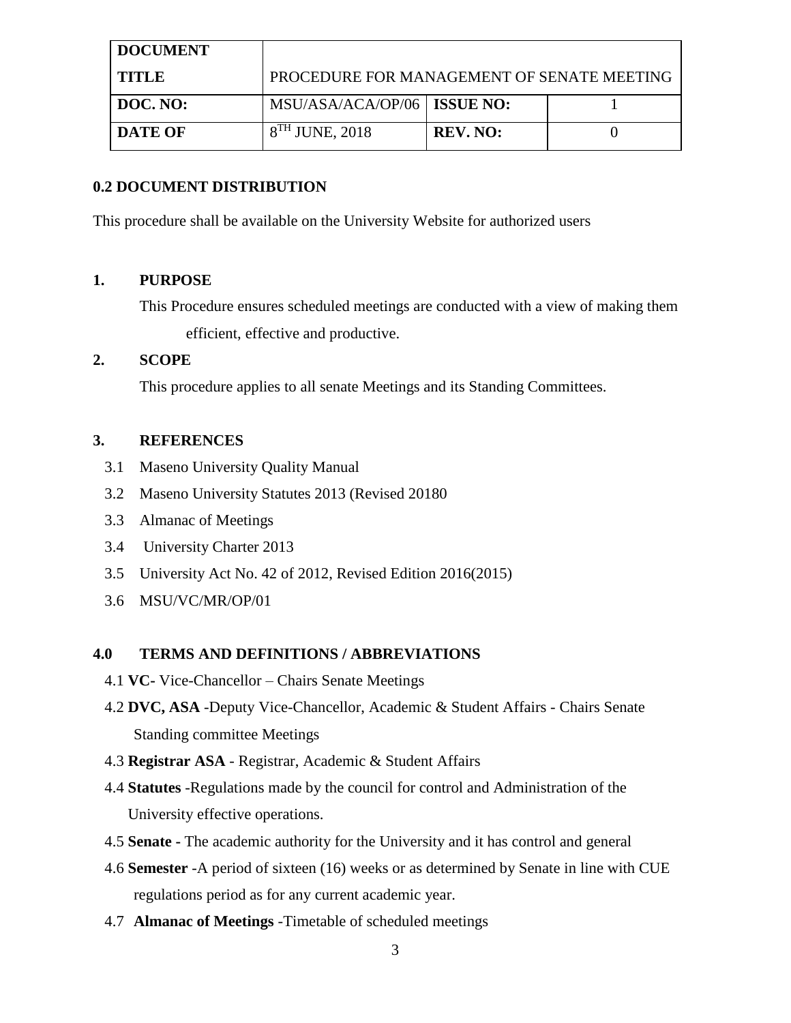| <b>DOCUMENT</b> |                                            |                 |  |
|-----------------|--------------------------------------------|-----------------|--|
| TITLE           | PROCEDURE FOR MANAGEMENT OF SENATE MEETING |                 |  |
| DOC. NO:        | MSU/ASA/ACA/OP/06   ISSUE NO:              |                 |  |
| <b>DATE OF</b>  | $8TH$ JUNE, 2018                           | <b>REV. NO:</b> |  |

#### **0.2 DOCUMENT DISTRIBUTION**

This procedure shall be available on the University Website for authorized users

## **1. PURPOSE**

This Procedure ensures scheduled meetings are conducted with a view of making them efficient, effective and productive.

## **2. SCOPE**

This procedure applies to all senate Meetings and its Standing Committees.

## **3. REFERENCES**

- 3.1 Maseno University Quality Manual
- 3.2 Maseno University Statutes 2013 (Revised 20180
- 3.3 Almanac of Meetings
- 3.4 University Charter 2013
- 3.5 University Act No. 42 of 2012, Revised Edition 2016(2015)
- 3.6 MSU/VC/MR/OP/01

#### **4.0 TERMS AND DEFINITIONS / ABBREVIATIONS**

- 4.1 **VC-** Vice-Chancellor Chairs Senate Meetings
- 4.2 **DVC, ASA** -Deputy Vice-Chancellor, Academic & Student Affairs Chairs Senate Standing committee Meetings
- 4.3 **Registrar ASA** Registrar, Academic & Student Affairs
- 4.4 **Statutes** -Regulations made by the council for control and Administration of the University effective operations.
- 4.5 **Senate -** The academic authority for the University and it has control and general
- 4.6 **Semester** -A period of sixteen (16) weeks or as determined by Senate in line with CUE regulations period as for any current academic year.
- 4.7 **Almanac of Meetings** -Timetable of scheduled meetings